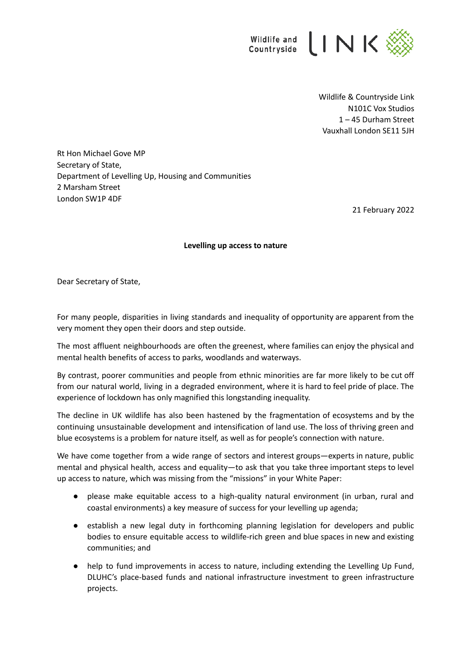

Wildlife & Countryside Link N101C Vox Studios 1 – 45 Durham Street Vauxhall London SE11 5JH

Rt Hon Michael Gove MP Secretary of State, Department of Levelling Up, Housing and Communities 2 Marsham Street London SW1P 4DF

21 February 2022

## **Levelling up access to nature**

Dear Secretary of State,

For many people, disparities in living standards and inequality of opportunity are apparent from the very moment they open their doors and step outside.

The most affluent neighbourhoods are often the greenest, where families can enjoy the physical and mental health benefits of access to parks, woodlands and waterways.

By contrast, poorer communities and people from ethnic minorities are far more likely to be cut off from our natural world, living in a degraded environment, where it is hard to feel pride of place. The experience of lockdown has only magnified this longstanding inequality.

The decline in UK wildlife has also been hastened by the fragmentation of ecosystems and by the continuing unsustainable development and intensification of land use. The loss of thriving green and blue ecosystems is a problem for nature itself, as well as for people's connection with nature.

We have come together from a wide range of sectors and interest groups—experts in nature, public mental and physical health, access and equality—to ask that you take three important steps to level up access to nature, which was missing from the "missions" in your White Paper:

- please make equitable access to a high-quality natural environment (in urban, rural and coastal environments) a key measure of success for your levelling up agenda;
- establish a new legal duty in forthcoming planning legislation for developers and public bodies to ensure equitable access to wildlife-rich green and blue spaces in new and existing communities; and
- help to fund improvements in access to nature, including extending the Levelling Up Fund, DLUHC's place-based funds and national infrastructure investment to green infrastructure projects.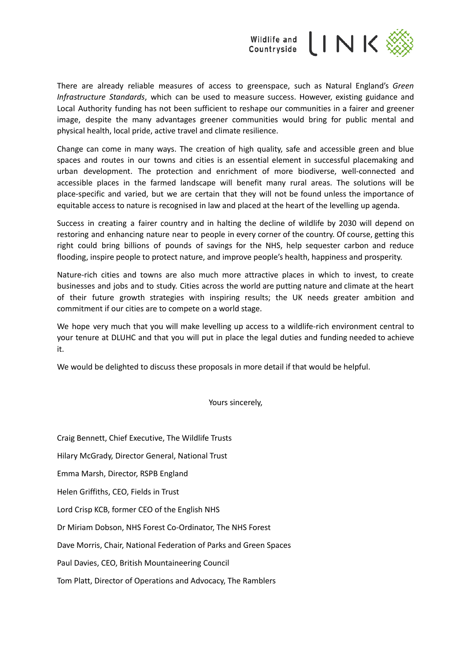

There are already reliable measures of access to greenspace, such as Natural England's *Green Infrastructure Standards*, which can be used to measure success. However, existing guidance and Local Authority funding has not been sufficient to reshape our communities in a fairer and greener image, despite the many advantages greener communities would bring for public mental and physical health, local pride, active travel and climate resilience.

Change can come in many ways. The creation of high quality, safe and accessible green and blue spaces and routes in our towns and cities is an essential element in successful placemaking and urban development. The protection and enrichment of more biodiverse, well-connected and accessible places in the farmed landscape will benefit many rural areas. The solutions will be place-specific and varied, but we are certain that they will not be found unless the importance of equitable access to nature is recognised in law and placed at the heart of the levelling up agenda.

Success in creating a fairer country and in halting the decline of wildlife by 2030 will depend on restoring and enhancing nature near to people in every corner of the country. Of course, getting this right could bring billions of pounds of savings for the NHS, help sequester carbon and reduce flooding, inspire people to protect nature, and improve people's health, happiness and prosperity.

Nature-rich cities and towns are also much more attractive places in which to invest, to create businesses and jobs and to study. Cities across the world are putting nature and climate at the heart of their future growth strategies with inspiring results; the UK needs greater ambition and commitment if our cities are to compete on a world stage.

We hope very much that you will make levelling up access to a wildlife-rich environment central to your tenure at DLUHC and that you will put in place the legal duties and funding needed to achieve it.

We would be delighted to discuss these proposals in more detail if that would be helpful.

Yours sincerely,

Craig Bennett, Chief Executive, The Wildlife Trusts

Hilary McGrady, Director General, National Trust

Emma Marsh, Director, RSPB England

Helen Griffiths, CEO, Fields in Trust

Lord Crisp KCB, former CEO of the English NHS

Dr Miriam Dobson, NHS Forest Co-Ordinator, The NHS Forest

Dave Morris, Chair, National Federation of Parks and Green Spaces

Paul Davies, CEO, British Mountaineering Council

Tom Platt, Director of Operations and Advocacy, The Ramblers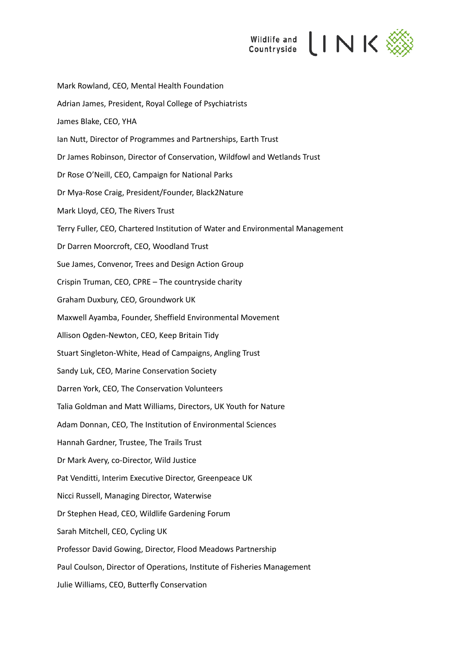

Mark Rowland, CEO, Mental Health Foundation Adrian James, President, Royal College of Psychiatrists James Blake, CEO, YHA Ian Nutt, Director of Programmes and Partnerships, Earth Trust Dr James Robinson, Director of Conservation, Wildfowl and Wetlands Trust Dr Rose O'Neill, CEO, Campaign for National Parks Dr Mya-Rose Craig, President/Founder, Black2Nature Mark Lloyd, CEO, The Rivers Trust Terry Fuller, CEO, Chartered Institution of Water and Environmental Management Dr Darren Moorcroft, CEO, Woodland Trust Sue James, Convenor, Trees and Design Action Group Crispin Truman, CEO, CPRE – The countryside charity Graham Duxbury, CEO, Groundwork UK Maxwell Ayamba, Founder, Sheffield Environmental Movement Allison Ogden-Newton, CEO, Keep Britain Tidy Stuart Singleton-White, Head of Campaigns, Angling Trust Sandy Luk, CEO, Marine Conservation Society Darren York, CEO, The Conservation Volunteers Talia Goldman and Matt Williams, Directors, UK Youth for Nature Adam Donnan, CEO, The Institution of Environmental Sciences Hannah Gardner, Trustee, The Trails Trust Dr Mark Avery, co-Director, Wild Justice Pat Venditti, Interim Executive Director, Greenpeace UK Nicci Russell, Managing Director, Waterwise Dr Stephen Head, CEO, Wildlife Gardening Forum Sarah Mitchell, CEO, Cycling UK Professor David Gowing, Director, Flood Meadows Partnership Paul Coulson, Director of Operations, Institute of Fisheries Management Julie Williams, CEO, Butterfly Conservation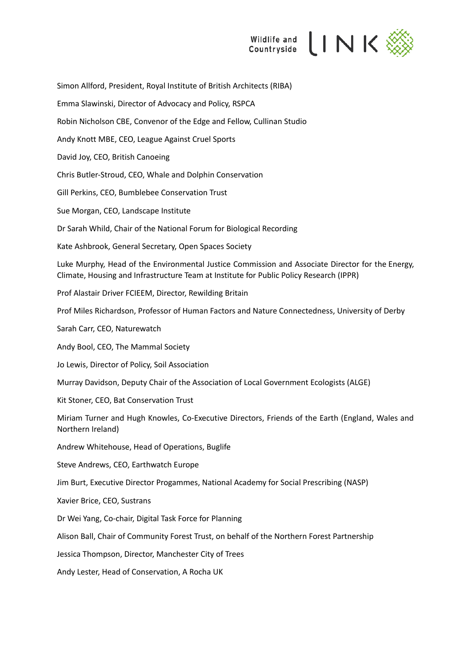

Simon Allford, President, Royal Institute of British Architects (RIBA) Emma Slawinski, Director of Advocacy and Policy, RSPCA Robin Nicholson CBE, Convenor of the Edge and Fellow, Cullinan Studio Andy Knott MBE, CEO, League Against Cruel Sports David Joy, CEO, British Canoeing Chris Butler-Stroud, CEO, Whale and Dolphin Conservation Gill Perkins, CEO, Bumblebee Conservation Trust Sue Morgan, CEO, Landscape Institute Dr Sarah Whild, Chair of the National Forum for Biological Recording Kate Ashbrook, General Secretary, Open Spaces Society Luke Murphy, Head of the Environmental Justice Commission and Associate Director for the Energy, Climate, Housing and Infrastructure Team at Institute for Public Policy Research (IPPR) Prof Alastair Driver FCIEEM, Director, Rewilding Britain Prof Miles Richardson, Professor of Human Factors and Nature Connectedness, University of Derby Sarah Carr, CEO, Naturewatch Andy Bool, CEO, The Mammal Society Jo Lewis, Director of Policy, Soil Association Murray Davidson, Deputy Chair of the Association of Local Government Ecologists (ALGE) Kit Stoner, CEO, Bat Conservation Trust Miriam Turner and Hugh Knowles, Co-Executive Directors, Friends of the Earth (England, Wales and Northern Ireland) Andrew Whitehouse, Head of Operations, Buglife Steve Andrews, CEO, Earthwatch Europe Jim Burt, Executive Director Progammes, National Academy for Social Prescribing (NASP) Xavier Brice, CEO, Sustrans Dr Wei Yang, Co-chair, Digital Task Force for Planning Alison Ball, Chair of Community Forest Trust, on behalf of the Northern Forest Partnership Jessica Thompson, Director, Manchester City of Trees Andy Lester, Head of Conservation, A Rocha UK